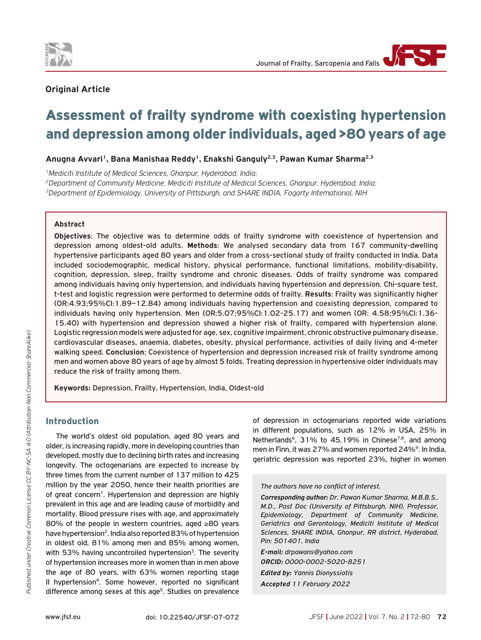

# **Original Article**

# Assessment of frailty syndrome with coexisting hypertension and depression among older individuals, aged >80 years of age

Anugna Avvari<sup>1</sup>, Bana Manishaa Reddy<sup>1</sup>, Enakshi Ganguly<sup>2,3</sup>, Pawan Kumar Sharma<sup>2,3</sup>

*1Mediciti Institute of Medical Sciences, Ghanpur, Hyderabad, India;*

*2Department of Community Medicine, Mediciti Institute of Medical Sciences, Ghanpur, Hyderabad, India; 3Department of Epidemiology, University of Pittsburgh, and SHARE INDIA, Fogarty International, NIH*

**Abstract**

**Objectives**: The objective was to determine odds of frailty syndrome with coexistence of hypertension and depression among oldest-old adults. **Methods**: We analysed secondary data from 167 community-dwelling hypertensive participants aged 80 years and older from a cross-sectional study of frailty conducted in India. Data included sociodemographic, medical history, physical performance, functional limitations, mobility-disability, cognition, depression, sleep, frailty syndrome and chronic diseases. Odds of frailty syndrome was compared among individuals having only hypertension, and individuals having hypertension and depression. Chi-square test, t-test and logistic regression were performed to determine odds of frailty. **Results**: Frailty was significantly higher (OR:4.93;95%CI:1.89–12.84) among individuals having hypertension and coexisting depression, compared to individuals having only hypertension. Men (OR:5.07;95%CI:1.02-25.17) and women (OR: 4.58;95%CI:1.36- 15.40) with hypertension and depression showed a higher risk of frailty, compared with hypertension alone. Logistic regression models were adjusted for age, sex, cognitive impairment, chronic obstructive pulmonary disease, cardiovascular diseases, anaemia, diabetes, obesity, physical performance, activities of daily living and 4-meter walking speed. **Conclusion**: Coexistence of hypertension and depression increased risk of frailty syndrome among men and women above 80 years of age by almost 5 folds. Treating depression in hypertensive older individuals may reduce the risk of frailty among them.

**Keywords:** Depression, Frailty, Hypertension, India, Oldest-old

# Introduction

The world's oldest old population, aged 80 years and older, is increasing rapidly, more in developing countries than developed, mostly due to declining birth rates and increasing longevity. The octogenarians are expected to increase by three times from the current number of 137 million to 425 million by the year 2050, hence their health priorities are of great concern<sup>1</sup>. Hypertension and depression are highly prevalent in this age and are leading cause of morbidity and mortality. Blood pressure rises with age, and approximately 80% of the people in western countries, aged ≥80 years have hypertension<sup>2</sup>. India also reported 83% of hypertension in oldest old, 81% among men and 85% among women, with 53% having uncontrolled hypertension<sup>3</sup>. The severity of hypertension increases more in women than in men above the age of 80 years, with 63% women reporting stage II hypertension4. Some however, reported no significant difference among sexes at this age<sup>5</sup>. Studies on prevalence of depression in octogenarians reported wide variations in different populations, such as 12% in USA, 25% in Netherlands<sup>6</sup>, 31% to 45.19% in Chinese<sup>7,8</sup>, and among men in Finn, it was 27% and women reported 24%<sup>9</sup>. In India, geriatric depression was reported 23%, higher in women

*The authors have no conflict of interest.*

*Corresponding author: Dr. Pawan Kumar Sharma, M.B.B.S., M.D., Post Doc (University of Pittsburgh, NIH), Professor, Epidemiology, Department of Community Medicine, Geriatrics and Gerontology, Mediciti Institute of Medical Sciences, SHARE INDIA, Ghanpur, RR district, Hyderabad, Pin: 501401, India*

*E-mail: drpawans@yahoo.com ORCID: 0000-0002-5020-8251 Edited by: Yannis Dionyssiotis Accepted 11 February 2022*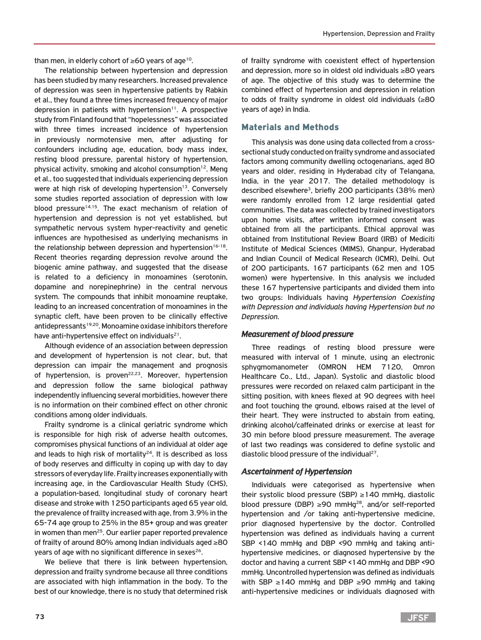than men, in elderly cohort of  $\geq 60$  years of age<sup>10</sup>.

The relationship between hypertension and depression has been studied by many researchers. Increased prevalence of depression was seen in hypertensive patients by Rabkin et al., they found a three times increased frequency of major depression in patients with hypertension<sup>11</sup>. A prospective study from Finland found that "hopelessness" was associated with three times increased incidence of hypertension in previously normotensive men, after adjusting for confounders including age, education, body mass index, resting blood pressure, parental history of hypertension, physical activity, smoking and alcohol consumption<sup>12</sup>. Meng et al., too suggested that individuals experiencing depression were at high risk of developing hypertension<sup>13</sup>. Conversely some studies reported association of depression with low blood pressure<sup>14,15</sup>. The exact mechanism of relation of hypertension and depression is not yet established, but sympathetic nervous system hyper-reactivity and genetic influences are hypothesised as underlying mechanisms in the relationship between depression and hypertension<sup>16-18</sup>. Recent theories regarding depression revolve around the biogenic amine pathway, and suggested that the disease is related to a deficiency in monoamines (serotonin, dopamine and norepinephrine) in the central nervous system. The compounds that inhibit monoamine reuptake, leading to an increased concentration of monoamines in the synaptic cleft, have been proven to be clinically effective antidepressants<sup>19,20</sup>. Monoamine oxidase inhibitors therefore have anti-hypertensive effect on individuals $21$ .

Although evidence of an association between depression and development of hypertension is not clear, but, that depression can impair the management and prognosis of hypertension, is proven<sup>22,23</sup>. Moreover, hypertension and depression follow the same biological pathway independently influencing several morbidities, however there is no information on their combined effect on other chronic conditions among older individuals.

Frailty syndrome is a clinical geriatric syndrome which is responsible for high risk of adverse health outcomes, compromises physical functions of an individual at older age and leads to high risk of mortality $24$ . It is described as loss of body reserves and difficulty in coping up with day to day stressors of everyday life. Frailty increases exponentially with increasing age, in the Cardiovascular Health Study (CHS), a population-based, longitudinal study of coronary heart disease and stroke with 1250 participants aged 65 year old, the prevalence of frailty increased with age, from 3.9% in the 65-74 age group to 25% in the 85+ group and was greater in women than men<sup>25</sup>. Our earlier paper reported prevalence of frailty of around 80% among Indian individuals aged ≥80 years of age with no significant difference in sexes<sup>26</sup>.

We believe that there is link between hypertension, depression and frailty syndrome because all three conditions are associated with high inflammation in the body. To the best of our knowledge, there is no study that determined risk

of frailty syndrome with coexistent effect of hypertension and depression, more so in oldest old individuals ≥80 years of age. The objective of this study was to determine the combined effect of hypertension and depression in relation to odds of frailty syndrome in oldest old individuals (≥80 years of age) in India.

## Materials and Methods

This analysis was done using data collected from a crosssectional study conducted on frailty syndrome and associated factors among community dwelling octogenarians, aged 80 years and older, residing in Hyderabad city of Telangana, India, in the year 2017. The detailed methodology is described elsewhere<sup>3</sup>, briefly 200 participants (38% men) were randomly enrolled from 12 large residential gated communities. The data was collected by trained investigators upon home visits, after written informed consent was obtained from all the participants. Ethical approval was obtained from Institutional Review Board (IRB) of Mediciti Institute of Medical Sciences (MIMS), Ghanpur, Hyderabad and Indian Council of Medical Research (ICMR), Delhi. Out of 200 participants, 167 participants (62 men and 105 women) were hypertensive. In this analysis we included these 167 hypertensive participants and divided them into two groups: Individuals having *Hypertension Coexisting with Depression and individuals having Hypertension but no Depression*.

## *Measurement of blood pressure*

Three readings of resting blood pressure were measured with interval of 1 minute, using an electronic sphygmomanometer (OMRON HEM 7120, Omron Healthcare Co., Ltd., Japan). Systolic and diastolic blood pressures were recorded on relaxed calm participant in the sitting position, with knees flexed at 90 degrees with heel and foot touching the ground, elbows raised at the level of their heart. They were instructed to abstain from eating, drinking alcohol/caffeinated drinks or exercise at least for 30 min before blood pressure measurement. The average of last two readings was considered to define systolic and diastolic blood pressure of the individual<sup>27</sup>.

# *Ascertainment of Hypertension*

Individuals were categorised as hypertensive when their systolic blood pressure (SBP) ≥140 mmHg, diastolic blood pressure (DBP)  $\geq$ 90 mmHg<sup>28</sup>, and/or self-reported hypertension and /or taking anti-hypertensive medicine, prior diagnosed hypertensive by the doctor. Controlled hypertension was defined as individuals having a current SBP <140 mmHg and DBP <90 mmHg and taking antihypertensive medicines, or diagnosed hypertensive by the doctor and having a current SBP <140 mmHg and DBP <90 mmHg. Uncontrolled hypertension was defined as individuals with SBP ≥140 mmHg and DBP ≥90 mmHg and taking anti-hypertensive medicines or individuals diagnosed with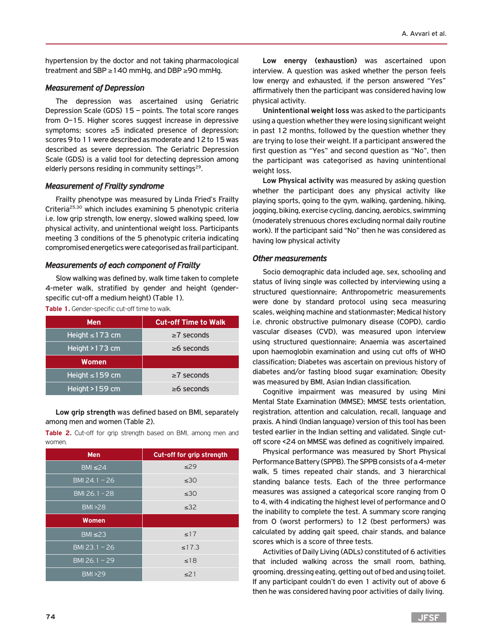hypertension by the doctor and not taking pharmacological treatment and SBP ≥140 mmHg, and DBP ≥90 mmHg.

#### *Measurement of Depression*

The depression was ascertained using Geriatric Depression Scale (GDS) 15 – points. The total score ranges from 0–15. Higher scores suggest increase in depressive symptoms; scores ≥5 indicated presence of depression; scores 9 to 11 were described as moderate and 12 to 15 was described as severe depression. The Geriatric Depression Scale (GDS) is a valid tool for detecting depression among elderly persons residing in community settings $29$ .

## *Measurement of Frailty syndrome*

Frailty phenotype was measured by Linda Fried's Frailty Criteria25,30 which includes examining 5 phenotypic criteria i.e. low grip strength, low energy, slowed walking speed, low physical activity, and unintentional weight loss. Participants meeting 3 conditions of the 5 phenotypic criteria indicating compromised energetics were categorised as frail participant.

#### *Measurements of each component of Frailty*

Slow walking was defined by, walk time taken to complete 4-meter walk, stratified by gender and height (genderspecific cut-off a medium height) (Table 1).

**Table 1.** Gender-specific cut-off time to walk.

| <b>Men</b>           | <b>Cut-off Time to Walk</b> |
|----------------------|-----------------------------|
| Height $\leq$ 173 cm | $\geq 7$ seconds            |
| Height $>173$ cm     | $\geq 6$ seconds            |
| Women                |                             |
| Height $\leq$ 159 cm | $\geq 7$ seconds            |
| Height $>159$ cm     | $\geq 6$ seconds            |

**Low grip strength** was defined based on BMI, separately among men and women (Table 2).

**Table 2.** Cut-off for grip strength based on BMI, among men and women.

| <b>Men</b>                  | Cut-off for grip strength |
|-----------------------------|---------------------------|
| $BM \leq 24$                | $\leq$ 29                 |
| BMI 24.1 - 26               | $\leq 30$                 |
| BMI 26.1 - 28               | $\leq 30$                 |
| <b>BMI &gt;28</b>           | $\leq$ 32                 |
| <b>Women</b>                |                           |
| $BM \leq 23$                | $\leq 17$                 |
| $\overline{BM123}$ . 1 – 26 | $\leq$ 17.3               |
| BMI 26.1 $-29$              | $\leq$ 18                 |
| <b>BMI &gt;29</b>           | $\leq$ 21                 |

**Low energy (exhaustion)** was ascertained upon interview. A question was asked whether the person feels low energy and exhausted, if the person answered "Yes" affirmatively then the participant was considered having low physical activity.

**Unintentional weight loss** was asked to the participants using a question whether they were losing significant weight in past 12 months, followed by the question whether they are trying to lose their weight. If a participant answered the first question as "Yes" and second question as "No", then the participant was categorised as having unintentional weight loss.

**Low Physical activity** was measured by asking question whether the participant does any physical activity like playing sports, going to the gym, walking, gardening, hiking, jogging, biking, exercise cycling, dancing, aerobics, swimming (moderately strenuous chores excluding normal daily routine work). If the participant said "No" then he was considered as having low physical activity

#### *Other measurements*

Socio demographic data included age, sex, schooling and status of living single was collected by interviewing using a structured questionnaire; Anthropometric measurements were done by standard protocol using seca measuring scales, weighing machine and stationmaster; Medical history i.e. chronic obstructive pulmonary disease (COPD), cardio vascular diseases (CVD), was measured upon interview using structured questionnaire; Anaemia was ascertained upon haemoglobin examination and using cut offs of WHO classification; Diabetes was ascertain on previous history of diabetes and/or fasting blood sugar examination; Obesity was measured by BMI, Asian Indian classification.

Cognitive impairment was measured by using Mini Mental State Examination (MMSE); MMSE tests orientation, registration, attention and calculation, recall, language and praxis. A hindi (Indian language) version of this tool has been tested earlier in the Indian setting and validated. Single cutoff score <24 on MMSE was defined as cognitively impaired.

Physical performance was measured by Short Physical Performance Battery (SPPB). The SPPB consists of a 4-meter walk, 5 times repeated chair stands, and 3 hierarchical standing balance tests. Each of the three performance measures was assigned a categorical score ranging from 0 to 4, with 4 indicating the highest level of performance and 0 the inability to complete the test. A summary score ranging from 0 (worst performers) to 12 (best performers) was calculated by adding gait speed, chair stands, and balance scores which is a score of three tests.

Activities of Daily Living (ADLs) constituted of 6 activities that included walking across the small room, bathing, grooming, dressing eating, getting out of bed and using toilet. If any participant couldn't do even 1 activity out of above 6 then he was considered having poor activities of daily living.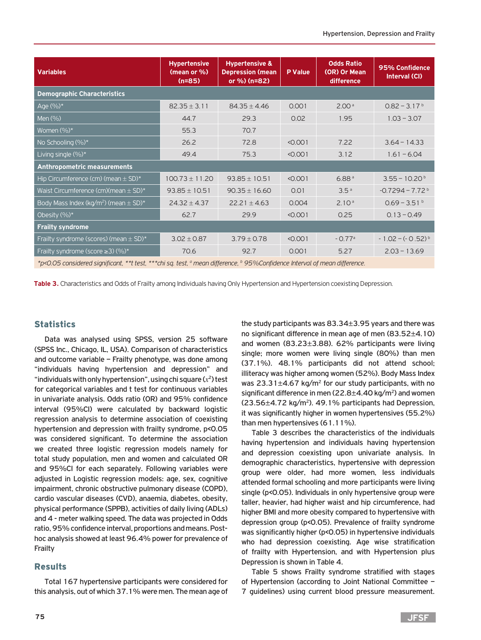| <b>Variables</b>                                                                                                                                                                                                                           | <b>Hypertensive</b><br>(mean or %)<br>$(n=85)$ | <b>Hypertensive &amp;</b><br><b>Depression (mean</b><br>or %) (n=82) | <b>P</b> Value | <b>Odds Ratio</b><br>(OR) Or Mean<br>difference | 95% Confidence<br>Interval (CI) |  |  |  |
|--------------------------------------------------------------------------------------------------------------------------------------------------------------------------------------------------------------------------------------------|------------------------------------------------|----------------------------------------------------------------------|----------------|-------------------------------------------------|---------------------------------|--|--|--|
| <b>Demographic Characteristics</b>                                                                                                                                                                                                         |                                                |                                                                      |                |                                                 |                                 |  |  |  |
| Age $(\%)^*$                                                                                                                                                                                                                               | $82.35 \pm 3.11$                               | $84.35 \pm 4.46$                                                     | 0.001          | 2.00 <sup>a</sup>                               | $0.82 - 3.17b$                  |  |  |  |
| Men (%)                                                                                                                                                                                                                                    | 44.7                                           | 29.3                                                                 | 0.02           | 1.95                                            | $1.03 - 3.07$                   |  |  |  |
| Women $(\%)^*$                                                                                                                                                                                                                             | 55.3                                           | 70.7                                                                 |                |                                                 |                                 |  |  |  |
| No Schooling (%)*                                                                                                                                                                                                                          | 26.2                                           | 72.8                                                                 | < 0.001        | 7.22                                            | $3.64 - 14.33$                  |  |  |  |
| Living single (%)*                                                                                                                                                                                                                         | 49.4                                           | 75.3                                                                 | < 0.001        | 3.12                                            | $1.61 - 6.04$                   |  |  |  |
| <b>Anthropometric measurements</b>                                                                                                                                                                                                         |                                                |                                                                      |                |                                                 |                                 |  |  |  |
| Hip Circumference (cm) (mean $\pm$ SD) $^*$                                                                                                                                                                                                | $100.73 \pm 11.20$                             | $93.85 \pm 10.51$                                                    | < 0.001        | 6.88 <sup>a</sup>                               | $3.55 - 10.20$ <sup>b</sup>     |  |  |  |
| Waist Circumference (cm)(mean $\pm$ SD) $^{\star}$                                                                                                                                                                                         | $93.85 \pm 10.51$                              | $90.35 \pm 16.60$                                                    | 0.01           | 3.5 <sup>a</sup>                                | $-0.7294 - 7.72$ <sup>b</sup>   |  |  |  |
| Body Mass Index (kg/m <sup>2</sup> ) (mean $\pm$ SD)*                                                                                                                                                                                      | $24.32 \pm 4.37$                               | $22.21 \pm 4.63$                                                     | 0.004          | 2.10 <sup>a</sup>                               | $0.69 - 3.51$ <sup>b</sup>      |  |  |  |
| Obesity (%)*                                                                                                                                                                                                                               | 62.7                                           | 29.9                                                                 | < 0.001        | 0.25                                            | $0.13 - 0.49$                   |  |  |  |
| <b>Frailty syndrome</b>                                                                                                                                                                                                                    |                                                |                                                                      |                |                                                 |                                 |  |  |  |
| Frailty syndrome (scores) (mean $\pm$ SD)*                                                                                                                                                                                                 | $3.02 \pm 0.87$                                | $3.79 \pm 0.78$                                                      | < 0.001        | $-0.77a$                                        | $-1.02 - (-0.52)^{b}$           |  |  |  |
| Frailty syndrome (score $\geq$ 3) (%)*                                                                                                                                                                                                     | 70.6                                           | 92.7                                                                 | 0.001          | 5.27                                            | $2.03 - 13.69$                  |  |  |  |
| $\mathcal{L}$ . A contact that the contact the contact of the contact of the contact of the contact of the contact of the contact of the contact of the contact of the contact of the contact of the contact of the contact of the<br>1.66 |                                                |                                                                      |                |                                                 |                                 |  |  |  |

*\*p<0.05 considered significant, \*\*t test, \*\*\*chi sq. test, a mean difference, b 95%Confidence Interval of mean difference.*

**Table 3.** Characteristics and Odds of Frailty among Individuals having Only Hypertension and Hypertension coexisting Depression.

## **Statistics**

Data was analysed using SPSS, version 25 software (SPSS Inc., Chicago, IL, USA). Comparison of characteristics and outcome variable – Frailty phenotype, was done among "individuals having hypertension and depression" and "individuals with only hypertension", using chi square  $(x^2)$  test for categorical variables and t test for continuous variables in univariate analysis. Odds ratio (OR) and 95% confidence interval (95%CI) were calculated by backward logistic regression analysis to determine association of coexisting hypertension and depression with frailty syndrome, p<0.05 was considered significant. To determine the association we created three logistic regression models namely for total study population, men and women and calculated OR and 95%CI for each separately. Following variables were adjusted in Logistic regression models: age, sex, cognitive impairment, chronic obstructive pulmonary disease (COPD), cardio vascular diseases (CVD), anaemia, diabetes, obesity, physical performance (SPPB), activities of daily living (ADLs) and 4 - meter walking speed. The data was projected in Odds ratio, 95% confidence interval, proportions and means. Posthoc analysis showed at least 96.4% power for prevalence of Frailty

## Results

Total 167 hypertensive participants were considered for this analysis, out of which 37.1% were men. The mean age of

the study participants was 83.34±3.95 years and there was no significant difference in mean age of men (83.52±4.10) and women (83.23±3.88). 62% participants were living single; more women were living single (80%) than men (37.1%). 48.1% participants did not attend school; illiteracy was higher among women (52%). Body Mass Index was  $23.31\pm4.67$  kg/m<sup>2</sup> for our study participants, with no significant difference in men  $(22.8\pm4.40 \text{ kg/m}^2)$  and women  $(23.56\pm4.72 \text{ kg/m}^2)$ . 49.1% participants had Depression, it was significantly higher in women hypertensives (55.2%) than men hypertensives (61.11%).

Table 3 describes the characteristics of the individuals having hypertension and individuals having hypertension and depression coexisting upon univariate analysis. In demographic characteristics, hypertensive with depression group were older, had more women, less individuals attended formal schooling and more participants were living single (p<0.05). Individuals in only hypertensive group were taller, heavier, had higher waist and hip circumference, had higher BMI and more obesity compared to hypertensive with depression group (p<0.05). Prevalence of frailty syndrome was significantly higher (p<0.05) in hypertensive individuals who had depression coexisting. Age wise stratification of frailty with Hypertension, and with Hypertension plus Depression is shown in Table 4.

Table 5 shows Frailty syndrome stratified with stages of Hypertension (according to Joint National Committee – 7 guidelines) using current blood pressure measurement.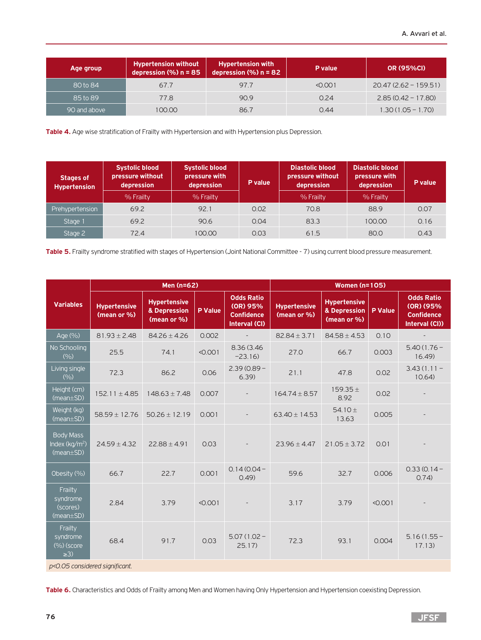| Age group    | <b>Hypertension without</b><br>depression $(\% )$ n = 85 | <b>Hypertension with</b><br>depression $\overline{(%)}$ n = 82 | P value | <b>OR (95%CI)</b>      |
|--------------|----------------------------------------------------------|----------------------------------------------------------------|---------|------------------------|
| 80 to 84     | 67.7                                                     | 97.7                                                           | < 0.001 | $20.47(2.62 - 159.51)$ |
| 85 to 89     | 77.8                                                     | 90.9                                                           | 0.24    | $2.85(0.42 - 17.80)$   |
| 90 and above | 100.00                                                   | 86.7                                                           | 0.44    | $1.30(1.05 - 1.70)$    |

**Table 4.** Age wise stratification of Frailty with Hypertension and with Hypertension plus Depression.

| <b>Stages of</b><br><b>Hypertension</b> | <b>Systolic blood</b><br>pressure without<br>depression<br>% Frailty | <b>Systolic blood</b><br>pressure with<br>depression<br>% Frailty | P value | <b>Diastolic blood</b><br>pressure without<br>depression<br>% Frailty | <b>Diastolic blood</b><br>pressure with<br>depression<br>% Frailty | P value |
|-----------------------------------------|----------------------------------------------------------------------|-------------------------------------------------------------------|---------|-----------------------------------------------------------------------|--------------------------------------------------------------------|---------|
| Prehypertension                         | 69.2                                                                 | 92.1                                                              | 0.02    | 70.8                                                                  | 88.9                                                               | 0.07    |
| Stage 1                                 | 69.2                                                                 | 90.6                                                              | 0.04    | 83.3                                                                  | 100.00                                                             | 0.16    |
| Stage 2                                 | 72.4                                                                 | 100.00                                                            | 0.03    | 61.5                                                                  | 80.0                                                               | 0.43    |

Table 5. Frailty syndrome stratified with stages of Hypertension (Joint National Committee - 7) using current blood pressure measurement.

|                                                                   | Men (n=62)                         |                                                    |                |                                                                     | <b>Women (n=105)</b>               |                                                    |                |                                                                       |
|-------------------------------------------------------------------|------------------------------------|----------------------------------------------------|----------------|---------------------------------------------------------------------|------------------------------------|----------------------------------------------------|----------------|-----------------------------------------------------------------------|
| <b>Variables</b>                                                  | <b>Hypertensive</b><br>(mean or %) | <b>Hypertensive</b><br>& Depression<br>(mean or %) | <b>P</b> Value | <b>Odds Ratio</b><br>(OR) 95%<br><b>Confidence</b><br>Interval (CI) | <b>Hypertensive</b><br>(mean or %) | <b>Hypertensive</b><br>& Depression<br>(mean or %) | <b>P</b> Value | <b>Odds Ratio</b><br>(OR) (95%<br><b>Confidence</b><br>Interval (CI)) |
| Age (%)                                                           | $81.93 \pm 2.48$                   | $84.26 \pm 4.26$                                   | 0.002          | $\overline{\phantom{a}}$                                            | $82.84 \pm 3.71$                   | $84.58 \pm 4.53$                                   | 0.10           |                                                                       |
| No Schooling<br>(9/0)                                             | 25.5                               | 74.1                                               | < 0.001        | 8.36 (3.46)<br>$-23.16$                                             | 27.0                               | 66.7                                               | 0.003          | $5.40(1.76 -$<br>16.49                                                |
| Living single<br>(9/0)                                            | 72.3                               | 86.2                                               | 0.06           | $2.39(0.89 -$<br>6.39                                               | 21.1                               | 47.8                                               | 0.02           | $3.43(1.11 -$<br>10.64                                                |
| Height (cm)<br>$(mean \pm SD)$                                    | $152.11 \pm 4.85$                  | $148.63 \pm 7.48$                                  | 0.007          |                                                                     | $164.74 \pm 8.57$                  | $159.35 \pm$<br>8.92                               | 0.02           |                                                                       |
| Weight (kg)<br>$(mean \pm SD)$                                    | $58.59 \pm 12.76$                  | $50.26 \pm 12.19$                                  | 0.001          |                                                                     | $63.40 \pm 14.53$                  | 54.10 $\pm$<br>13.63                               | 0.005          |                                                                       |
| <b>Body Mass</b><br>Index (kg/m <sup>2</sup> )<br>$(mean \pm SD)$ | $24.59 \pm 4.32$                   | $22.88 \pm 4.91$                                   | 0.03           |                                                                     | $23.96 \pm 4.47$                   | $21.05 \pm 3.72$                                   | 0.01           |                                                                       |
| Obesity (%)                                                       | 66.7                               | 22.7                                               | 0.001          | $0.14(0.04 -$<br>0.49                                               | 59.6                               | 32.7                                               | 0.006          | $0.33(0.14 -$<br>0.74)                                                |
| Frailty<br>syndrome<br>(scores)<br>$(mean \pm SD)$                | 2.84                               | 3.79                                               | < 0.001        |                                                                     | 3.17                               | 3.79                                               | < 0.001        |                                                                       |
| Frailty<br>syndrome<br>(%)(score)<br>$\geq$ 3)                    | 68.4                               | 91.7                                               | 0.03           | $5.07(1.02 -$<br>25.17                                              | 72.3                               | 93.1                                               | 0.004          | $5.16(1.55 -$<br>17.13)                                               |
| p<0.05 considered significant.                                    |                                    |                                                    |                |                                                                     |                                    |                                                    |                |                                                                       |

**Table 6.** Characteristics and Odds of Frailty among Men and Women having Only Hypertension and Hypertension coexisting Depression.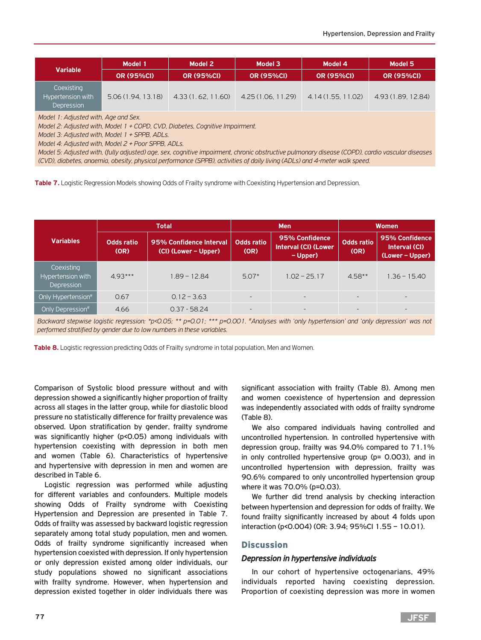| <b>Variable</b>                               | Model 1           | Model 2           | Model 3            | Model 4            | Model 5            |
|-----------------------------------------------|-------------------|-------------------|--------------------|--------------------|--------------------|
|                                               | <b>OR (95%CI)</b> | <b>OR (95%CI)</b> | <b>OR (95%CI)</b>  | <b>OR (95%CI)</b>  | <b>OR (95%CI)</b>  |
| Coexisting<br>Hypertension with<br>Depression | 5.06(1.94, 13.18) | 4.33(1.62, 11.60) | 4.25 (1.06, 11.29) | 4.14 (1.55, 11.02) | 4.93 (1.89, 12.84) |

*Model 1: Adjusted with, Age and Sex.*

*Model 2: Adjusted with, Model 1 + COPD, CVD, Diabetes, Cognitive Impairment.*

*Model 3: Adjusted with, Model 1 + SPPB, ADLs.*

*Model 4: Adjusted with, Model 2 + Poor SPPB, ADLs.*

*Model 5: Adjusted with, (fully adjusted) age, sex, cognitive impairment, chronic obstructive pulmonary disease (COPD), cardio vascular diseases (CVD), diabetes, anaemia, obesity, physical performance (SPPB), activities of daily living (ADLs) and 4-meter walk speed.*

Table 7. Logistic Regression Models showing Odds of Frailty syndrome with Coexisting Hypertension and Depression.

|                                               |                           | Total                                           | <b>Men</b>                |                                                           |                           | <b>Women</b>                                       |  |
|-----------------------------------------------|---------------------------|-------------------------------------------------|---------------------------|-----------------------------------------------------------|---------------------------|----------------------------------------------------|--|
| <b>Variables</b>                              | <b>Odds ratio</b><br>(OR) | 95% Confidence Interval<br>(CI) (Lower – Upper) | <b>Odds ratio</b><br>(OR) | 95% Confidence<br><b>Interval (CI) (Lower</b><br>– Upper) | <b>Odds ratio</b><br>(OR) | 95% Confidence<br>Interval (CI)<br>(Lower - Upper) |  |
| Coexisting<br>Hypertension with<br>Depression | $4.93***$                 | $1.89 - 12.84$                                  | $5.07*$                   | $1.02 - 25.17$                                            | $4.58**$                  | $1.36 - 15.40$                                     |  |
| Only Hypertension <sup>#1</sup>               | 0.67                      | $0.12 - 3.63$                                   | $\overline{\phantom{a}}$  | $\overline{\phantom{0}}$                                  | $\overline{\phantom{a}}$  | $\overline{\phantom{0}}$                           |  |
| Only Depression <sup>#</sup>                  | 4.66                      | $0.37 - 58.24$                                  | $\overline{\phantom{0}}$  | $\overline{\phantom{a}}$                                  | $\overline{\phantom{0}}$  | $\overline{\phantom{0}}$                           |  |

*Backward stepwise logistic regression: \*p<0.05; \*\* p=0.01; \*\*\* p=0.001. #Analyses with 'only hypertension' and 'only depression' was not performed stratified by gender due to low numbers in these variables.*

**Table 8.** Logistic regression predicting Odds of Frailty syndrome in total population, Men and Women.

Comparison of Systolic blood pressure without and with depression showed a significantly higher proportion of frailty across all stages in the latter group, while for diastolic blood pressure no statistically difference for frailty prevalence was observed. Upon stratification by gender, frailty syndrome was significantly higher (p<0.05) among individuals with hypertension coexisting with depression in both men and women (Table 6). Characteristics of hypertensive and hypertensive with depression in men and women are described in Table 6.

Logistic regression was performed while adjusting for different variables and confounders. Multiple models showing Odds of Frailty syndrome with Coexisting Hypertension and Depression are presented in Table 7. Odds of frailty was assessed by backward logistic regression separately among total study population, men and women. Odds of frailty syndrome significantly increased when hypertension coexisted with depression. If only hypertension or only depression existed among older individuals, our study populations showed no significant associations with frailty syndrome. However, when hypertension and depression existed together in older individuals there was

significant association with frailty (Table 8). Among men and women coexistence of hypertension and depression was independently associated with odds of frailty syndrome (Table 8).

We also compared individuals having controlled and uncontrolled hypertension. In controlled hypertensive with depression group, frailty was 94.0% compared to 71.1% in only controlled hypertensive group (p= 0.003), and in uncontrolled hypertension with depression, frailty was 90.6% compared to only uncontrolled hypertension group where it was 70.0% (p=0.03).

We further did trend analysis by checking interaction between hypertension and depression for odds of frailty. We found frailty significantly increased by about 4 folds upon interaction (p<0.004) (OR: 3.94; 95%CI 1.55 – 10.01).

## **Discussion**

#### *Depression in hypertensive individuals*

In our cohort of hypertensive octogenarians, 49% individuals reported having coexisting depression. Proportion of coexisting depression was more in women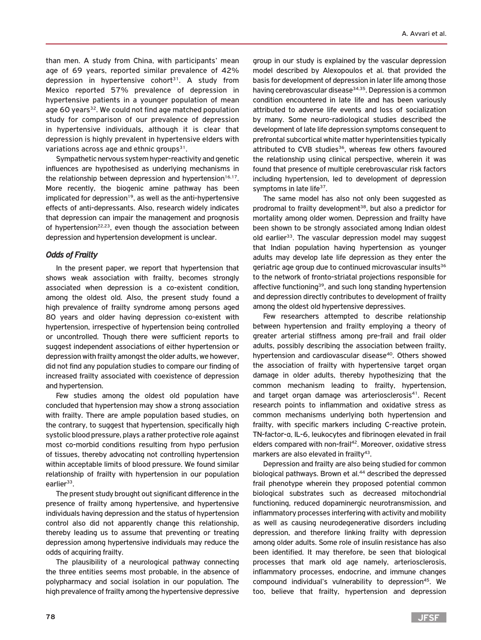than men. A study from China, with participants' mean age of 69 years, reported similar prevalence of 42% depression in hypertensive cohort<sup>31</sup>. A study from Mexico reported 57% prevalence of depression in hypertensive patients in a younger population of mean age 60 years<sup>32</sup>. We could not find age matched population study for comparison of our prevalence of depression in hypertensive individuals, although it is clear that depression is highly prevalent in hypertensive elders with variations across age and ethnic groups $31$ .

Sympathetic nervous system hyper-reactivity and genetic influences are hypothesised as underlying mechanisms in the relationship between depression and hypertension $16,17$ . More recently, the biogenic amine pathway has been implicated for depression<sup>19</sup>, as well as the anti-hypertensive effects of anti-depressants. Also, research widely indicates that depression can impair the management and prognosis of hypertension<sup>22,23</sup>, even though the association between depression and hypertension development is unclear.

## *Odds of Frailty*

In the present paper, we report that hypertension that shows weak association with frailty, becomes strongly associated when depression is a co-existent condition, among the oldest old. Also, the present study found a high prevalence of frailty syndrome among persons aged 80 years and older having depression co-existent with hypertension, irrespective of hypertension being controlled or uncontrolled. Though there were sufficient reports to suggest independent associations of either hypertension or depression with frailty amongst the older adults, we however, did not find any population studies to compare our finding of increased frailty associated with coexistence of depression and hypertension.

Few studies among the oldest old population have concluded that hypertension may show a strong association with frailty. There are ample population based studies, on the contrary, to suggest that hypertension, specifically high systolic blood pressure, plays a rather protective role against most co-morbid conditions resulting from hypo perfusion of tissues, thereby advocating not controlling hypertension within acceptable limits of blood pressure. We found similar relationship of frailty with hypertension in our population earlier<sup>33</sup>.

The present study brought out significant difference in the presence of frailty among hypertensive, and hypertensive individuals having depression and the status of hypertension control also did not apparently change this relationship, thereby leading us to assume that preventing or treating depression among hypertensive individuals may reduce the odds of acquiring frailty.

The plausibility of a neurological pathway connecting the three entities seems most probable, in the absence of polypharmacy and social isolation in our population. The high prevalence of frailty among the hypertensive depressive

group in our study is explained by the vascular depression model described by Alexopoulos et al. that provided the basis for development of depression in later life among those having cerebrovascular disease<sup>34,35</sup>. Depression is a common condition encountered in late life and has been variously attributed to adverse life events and loss of socialization by many. Some neuro-radiological studies described the development of late life depression symptoms consequent to prefrontal subcortical white matter hyperintensities typically attributed to CVB studies<sup>36</sup>, whereas few others favoured the relationship using clinical perspective, wherein it was found that presence of multiple cerebrovascular risk factors including hypertension, led to development of depression symptoms in late life<sup>37</sup>.

The same model has also not only been suggested as prodromal to frailty development<sup>38</sup>, but also a predictor for mortality among older women. Depression and frailty have been shown to be strongly associated among Indian oldest old earlier<sup>33</sup>. The vascular depression model may suggest that Indian population having hypertension as younger adults may develop late life depression as they enter the geriatric age group due to continued microvascular insults<sup>36</sup> to the network of fronto-striatal projections responsible for affective functioning<sup>39</sup>, and such long standing hypertension and depression directly contributes to development of frailty among the oldest old hypertensive depressives.

Few researchers attempted to describe relationship between hypertension and frailty employing a theory of greater arterial stiffness among pre-frail and frail older adults, possibly describing the association between frailty, hypertension and cardiovascular disease<sup>40</sup>. Others showed the association of frailty with hypertensive target organ damage in older adults, thereby hypothesizing that the common mechanism leading to frailty, hypertension, and target organ damage was arteriosclerosis<sup>41</sup>. Recent research points to inflammation and oxidative stress as common mechanisms underlying both hypertension and frailty, with specific markers including C-reactive protein, TN-factor-α, IL-6, leukocytes and fibrinogen elevated in frail elders compared with non-frail<sup>42</sup>. Moreover, oxidative stress markers are also elevated in frailty<sup>43</sup>.

Depression and frailty are also being studied for common biological pathways. Brown et al.<sup>44</sup> described the depressed frail phenotype wherein they proposed potential common biological substrates such as decreased mitochondrial functioning, reduced dopaminergic neurotransmission, and inflammatory processes interfering with activity and mobility as well as causing neurodegenerative disorders including depression, and therefore linking frailty with depression among older adults. Some role of insulin resistance has also been identified. It may therefore, be seen that biological processes that mark old age namely, arteriosclerosis, inflammatory processes, endocrine, and immune changes compound individual's vulnerability to depression<sup>45</sup>. We too, believe that frailty, hypertension and depression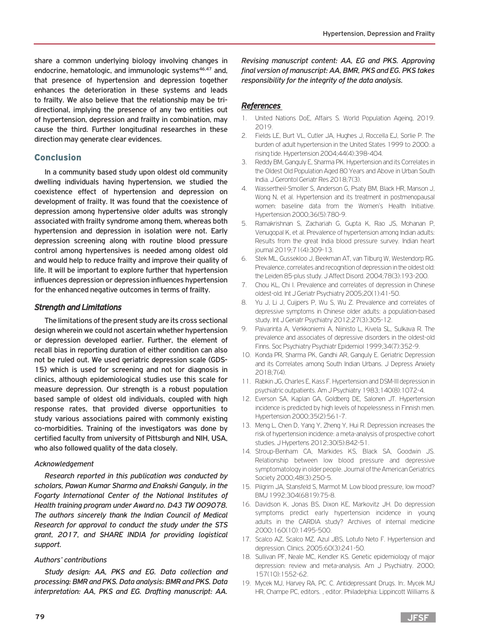share a common underlying biology involving changes in endocrine, hematologic, and immunologic systems<sup>46,47</sup> and, that presence of hypertension and depression together enhances the deterioration in these systems and leads to frailty. We also believe that the relationship may be tridirectional, implying the presence of any two entities out of hypertension, depression and frailty in combination, may cause the third. Further longitudinal researches in these direction may generate clear evidences.

## Conclusion

In a community based study upon oldest old community dwelling individuals having hypertension, we studied the coexistence effect of hypertension and depression on development of frailty. It was found that the coexistence of depression among hypertensive older adults was strongly associated with frailty syndrome among them, whereas both hypertension and depression in isolation were not. Early depression screening along with routine blood pressure control among hypertensives is needed among oldest old and would help to reduce frailty and improve their quality of life. It will be important to explore further that hypertension influences depression or depression influences hypertension for the enhanced negative outcomes in terms of frailty.

## *Strength and Limitations*

The limitations of the present study are its cross sectional design wherein we could not ascertain whether hypertension or depression developed earlier. Further, the element of recall bias in reporting duration of either condition can also not be ruled out. We used geriatric depression scale (GDS-15) which is used for screening and not for diagnosis in clinics, although epidemiological studies use this scale for measure depression. Our strength is a robust population based sample of oldest old individuals, coupled with high response rates, that provided diverse opportunities to study various associations paired with commonly existing co-morbidities. Training of the investigators was done by certified faculty from university of Pittsburgh and NIH, USA, who also followed quality of the data closely.

#### *Acknowledgement*

*Research reported in this publication was conducted by scholars, Pawan Kumar Sharma and Enakshi Ganguly, in the Fogarty International Center of the National Institutes of Health training program under Award no. D43 TW 009078. The authors sincerely thank the Indian Council of Medical Research for approval to conduct the study under the STS grant, 2017, and SHARE INDIA for providing logistical support.* 

#### *Authors' contributions*

*Study design: AA, PKS and EG. Data collection and processing: BMR and PKS. Data analysis: BMR and PKS. Data interpretation: AA, PKS and EG. Drafting manuscript: AA.* 

*Revising manuscript content: AA, EG and PKS. Approving final version of manuscript: AA, BMR, PKS and EG. PKS takes responsibility for the integrity of the data analysis.* 

## *References*

- 1. United Nations DoE, Affairs S. World Population Ageing, 2019. 2019.
- 2. Fields LE, Burt VL, Cutler JA, Hughes J, Roccella EJ, Sorlie P. The burden of adult hypertension in the United States 1999 to 2000: a rising tide. Hypertension 2004;44(4):398-404.
- 3. Reddy BM, Ganguly E, Sharma PK. Hypertension and its Correlates in the Oldest Old Population Aged 80 Years and Above in Urban South India. J Gerontol Geriatr Res 2018;7(3).
- 4. Wassertheil-Smoller S, Anderson G, Psaty BM, Black HR, Manson J, Wong N, et al. Hypertension and its treatment in postmenopausal women: baseline data from the Women's Health Initiative. Hypertension 2000;36(5):780-9.
- 5. Ramakrishnan S, Zachariah G, Gupta K, Rao JS, Mohanan P, Venugopal K, et al. Prevalence of hypertension among Indian adults: Results from the great India blood pressure survey. Indian heart journal 2019;71(4):309-13.
- 6. Stek ML, Gussekloo J, Beekman AT, van Tilburg W, Westendorp RG. Prevalence, correlates and recognition of depression in the oldest old: the Leiden 85-plus study. J Affect Disord. 2004;78(3):193-200.
- 7. Chou KL, Chi I. Prevalence and correlates of depression in Chinese oldest-old. Int J Geriatr Psychiatry 2005;20(1):41-50.
- 8. Yu J, Li J, Cuijpers P, Wu S, Wu Z. Prevalence and correlates of depressive symptoms in Chinese older adults: a population-based study. Int J Geriatr Psychiatry 2012;27(3):305-12.
- 9. Paivarinta A, Verkkoniemi A, Niinisto L, Kivela SL, Sulkava R. The prevalence and associates of depressive disorders in the oldest-old Finns. Soc Psychiatry Psychiatr Epidemiol 1999;34(7):352-9.
- 10. Konda PR, Sharma PK, Gandhi AR, Ganguly E. Geriatric Depression and its Correlates among South Indian Urbans. J Depress Anxiety 2018;7(4).
- 11. Rabkin JG, Charles E, Kass F. Hypertension and DSM-III depression in psychiatric outpatients. Am J Psychiatry 1983;140(8):1072-4.
- 12. Everson SA, Kaplan GA, Goldberg DE, Salonen JT. Hypertension incidence is predicted by high levels of hopelessness in Finnish men. Hypertension 2000;35(2):561-7.
- 13. Meng L, Chen D, Yang Y, Zheng Y, Hui R. Depression increases the risk of hypertension incidence: a meta-analysis of prospective cohort studies. J Hypertens 2012;30(5):842-51.
- 14. Stroup-Benham CA, Markides KS, Black SA, Goodwin JS. Relationship between low blood pressure and depressive symptomatology in older people. Journal of the American Geriatrics Society 2000;48(3):250-5.
- 15. Pilgrim JA, Stansfeld S, Marmot M. Low blood pressure, low mood? BMJ 1992;304(6819):75-8.
- 16. Davidson K, Jonas BS, Dixon KE, Markovitz JH. Do depression symptoms predict early hypertension incidence in young adults in the CARDIA study? Archives of internal medicine 2000;160(10):1495-500.
- 17. Scalco AZ, Scalco MZ, Azul JBS, Lotufo Neto F. Hypertension and depression. Clinics. 2005;60(3):241-50.
- 18. Sullivan PF, Neale MC, Kendler KS. Genetic epidemiology of major depression: review and meta-analysis. Am J Psychiatry. 2000; 157(10):1552-62.
- 19. Mycek MJ, Harvey RA, PC. C. Antidepressant Drugs. In:. Mycek MJ HR, Champe PC, editors. , editor. Philadelphia: Lippincott Williams &